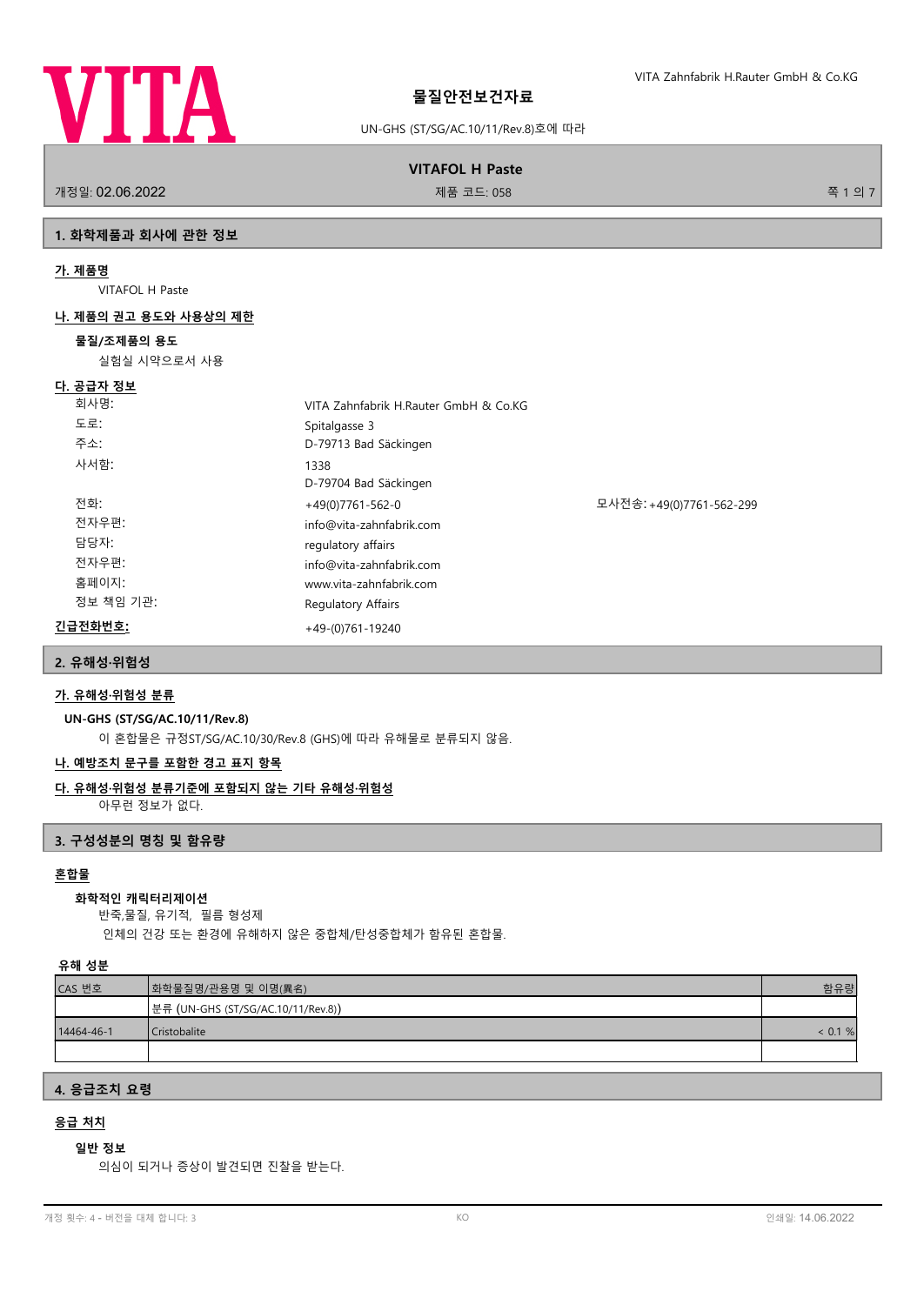

UN-GHS (ST/SG/AC.10/11/Rev.8)호에 따라

**VITAFOL H Paste**

.<br>개정일: 02.06.2022 제품 코드: 058 전 1 의 7 개정일: 02.06.2022 제품 코드: 058 전 기능 기능 기능 기능 기능 기능 기능 기능 기능 기능 기능 및 기능 기능 기능 기능

## **1. 화학제품과 회사에 관한 정보**

### **가. 제품명**

VITAFOL H Paste

#### **나. 제품의 권고 용도와 사용상의 제한**

#### **물질/조제품의 용도**

실험실 시약으로서 사용

# **다. 공급자 정보**

| .         |                                                |
|-----------|------------------------------------------------|
| 회사명:      | VITA Zahnfabrik H.Rauter GmbH & Co.KG          |
| 도로:       | Spitalgasse 3                                  |
| 주소:       | D-79713 Bad Säckingen                          |
| 사서함:      | 1338<br>D-79704 Bad Säckingen                  |
| 전화:       | 모사전송: +49(0)7761-562-299<br>$+49(0)7761-562-0$ |
| 전자우편:     | info@vita-zahnfabrik.com                       |
| 담당자:      | regulatory affairs                             |
| 전자우편:     | info@vita-zahnfabrik.com                       |
| 홈페이지:     | www.vita-zahnfabrik.com                        |
| 정보 책임 기관: | Regulatory Affairs                             |
| 긴급전화번호:   | $+49-(0)761-19240$                             |
|           |                                                |

#### **2. 유해성·위험성**

### **가. 유해성·위험성 분류**

### **UN-GHS (ST/SG/AC.10/11/Rev.8)**

이 혼합물은 규정ST/SG/AC.10/30/Rev.8 (GHS)에 따라 유해물로 분류되지 않음.

#### **나. 예방조치 문구를 포함한 경고 표지 항목**

## **다. 유해성·위험성 분류기준에 포함되지 않는 기타 유해성·위험성**

아무런 정보가 없다.

### **3. 구성성분의 명칭 및 함유량**

#### **혼합물**

#### **화학적인 캐릭터리제이션**

반죽,물질, 유기적, 필름 형성제

인체의 건강 또는 환경에 유해하지 않은 중합체/탄성중합체가 함유된 혼합물.

#### **유해 성분**

| CAS 번호     | ┃화학물질명/관용명 및 이명(異名)                 | 함유량        |
|------------|-------------------------------------|------------|
|            | │분류 (UN-GHS (ST/SG/AC.10/11/Rev.8)) |            |
| 14464-46-1 | Cristobalite                        | $< 0.1 \%$ |
|            |                                     |            |

## **4. 응급조치 요령**

### **응급 처치**

### **일반 정보**

의심이 되거나 증상이 발견되면 진찰을 받는다.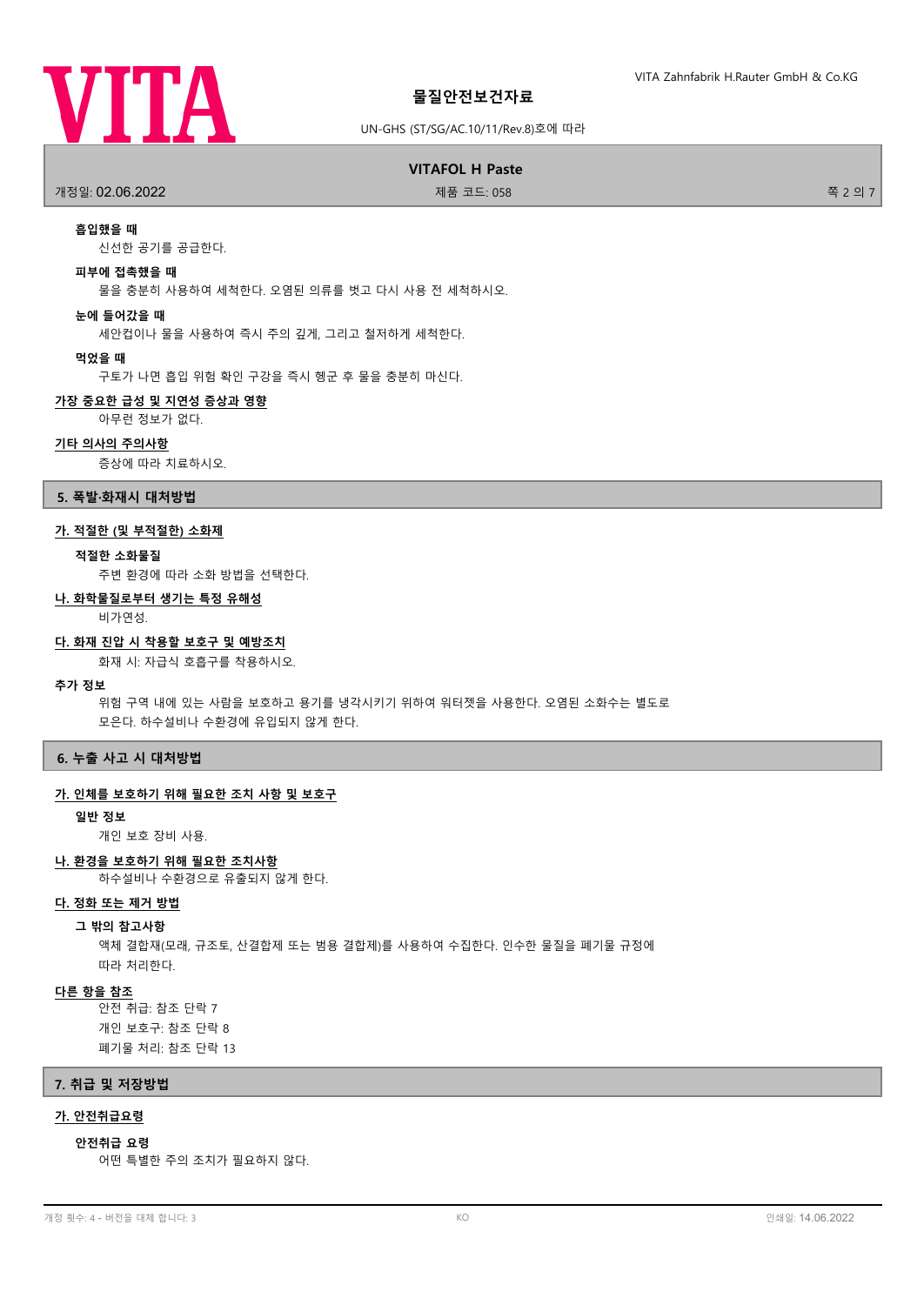

### UN-GHS (ST/SG/AC.10/11/Rev.8)호에 따라

### **VITAFOL H Paste**

.<br>개정일: **02.06.2022 제품 코드: 058 출시 기능** 기능 기능 제품 코드: 058 출시 기능 기능 기능 기능 및 기능 및 기능 기능 기능 기능 기능 및 기능 및 기능 및 기능 및 기능

### **흡입했을 때**

신선한 공기를 공급한다.

#### **피부에 접촉했을 때**

물을 충분히 사용하여 세척한다. 오염된 의류를 벗고 다시 사용 전 세척하시오.

#### **눈에 들어갔을 때**

세안컵이나 물을 사용하여 즉시 주의 깊게, 그리고 철저하게 세척한다.

#### **먹었을 때**

구토가 나면 흡입 위험 확인 구강을 즉시 헹군 후 물을 충분히 마신다.

#### **가장 중요한 급성 및 지연성 증상과 영향**

아무런 정보가 없다.

### **기타 의사의 주의사항**

증상에 따라 치료하시오.

### **5. 폭발·화재시 대처방법**

#### **가. 적절한 (및 부적절한) 소화제**

#### **적절한 소화물질**

주변 환경에 따라 소화 방법을 선택한다.

#### **나. 화학물질로부터 생기는 특정 유해성**

비가연성.

#### **다. 화재 진압 시 착용할 보호구 및 예방조치**

화재 시: 자급식 호흡구를 착용하시오.

#### **추가 정보**

위험 구역 내에 있는 사람을 보호하고 용기를 냉각시키기 위하여 워터젯을 사용한다. 오염된 소화수는 별도로 모은다. 하수설비나 수환경에 유입되지 않게 한다.

### **6. 누출 사고 시 대처방법**

### **가. 인체를 보호하기 위해 필요한 조치 사항 및 보호구**

**일반 정보**

개인 보호 장비 사용.

### **나. 환경을 보호하기 위해 필요한 조치사항**

하수설비나 수환경으로 유출되지 않게 한다.

#### **다. 정화 또는 제거 방법**

#### **그 밖의 참고사항**

액체 결합재(모래, 규조토, 산결합제 또는 범용 결합제)를 사용하여 수집한다. 인수한 물질을 폐기물 규정에 따라 처리한다.

### **다른 항을 참조**

안전 취급: 참조 단락 7 개인 보호구: 참조 단락 8 폐기물 처리: 참조 단락 13

#### **7. 취급 및 저장방법**

### **가. 안전취급요령**

#### **안전취급 요령**

어떤 특별한 주의 조치가 필요하지 않다.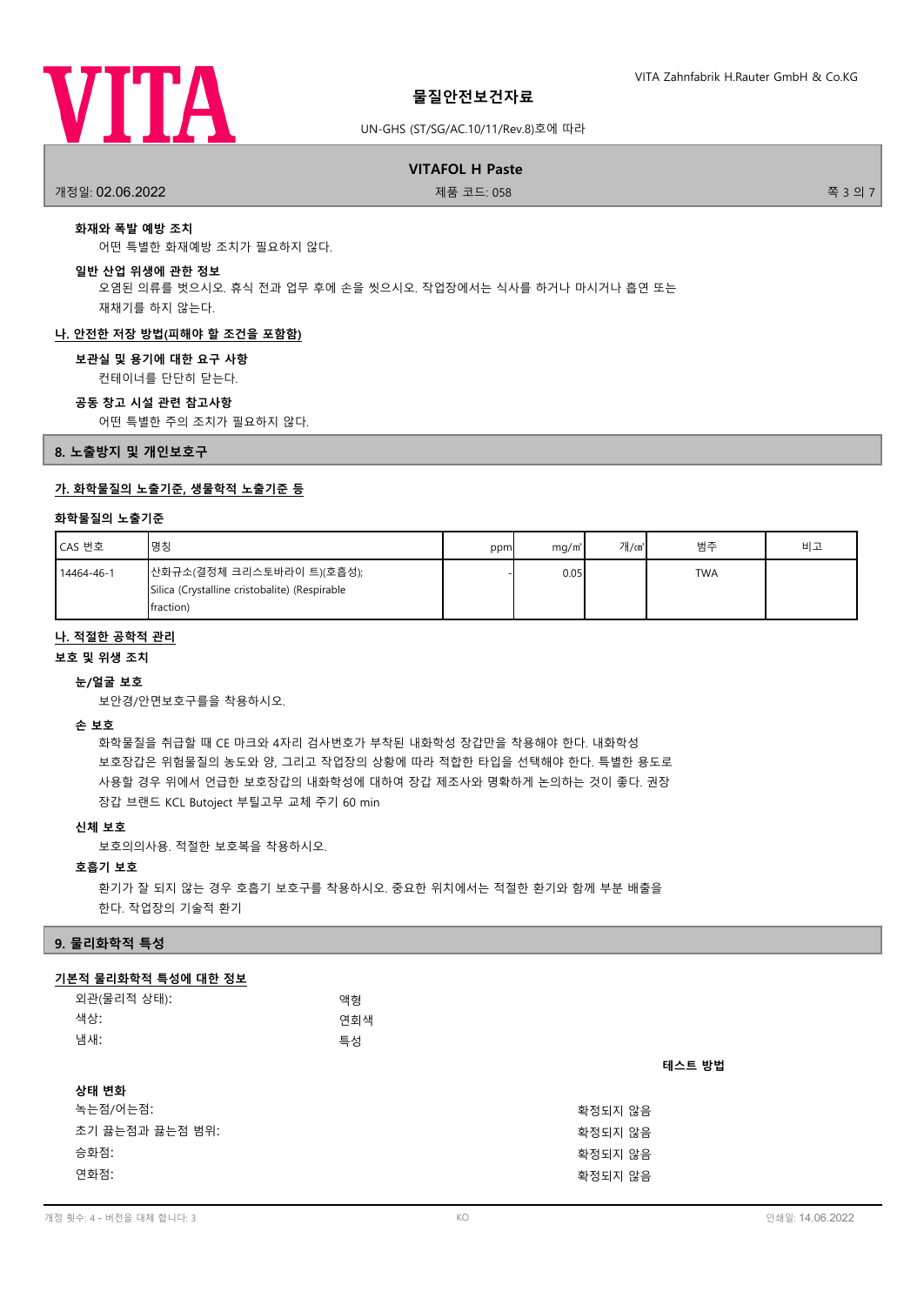

### UN-GHS (ST/SG/AC.10/11/Rev.8)호에 따라

# **VITAFOL H Paste**

개정일: 02.06.2022 제품 코드: 058 쪽 3 의 7

# **화재와 폭발 예방 조치**

어떤 특별한 화재예방 조치가 필요하지 않다.

#### **일반 산업 위생에 관한 정보**

오염된 의류를 벗으시오. 휴식 전과 업무 후에 손을 씻으시오. 작업장에서는 식사를 하거나 마시거나 흡연 또는 재채기를 하지 않는다.

#### **나. 안전한 저장 방법(피해야 할 조건을 포함함)**

#### **보관실 및 용기에 대한 요구 사항**

컨테이너를 단단히 닫는다.

#### **공동 창고 시설 관련 참고사항**

어떤 특별한 주의 조치가 필요하지 않다.

**8. 노출방지 및 개인보호구**

### **가. 화학물질의 노출기준, 생물학적 노출기준 등**

### **화학물질의 노출기준**

| CAS 번호     | ┃명칭                                                                                      | ppm | mq/m <sup>3</sup> | 개/㎝ | 범주         | 비고 |
|------------|------------------------------------------------------------------------------------------|-----|-------------------|-----|------------|----|
| 14464-46-1 | ┃산화규소(결정체 크리스토바라이 트)(호흡성);<br>Silica (Crystalline cristobalite) (Respirable<br>fraction) |     | 0.05              |     | <b>TWA</b> |    |

#### **나. 적절한 공학적 관리**

**보호 및 위생 조치**

#### **눈/얼굴 보호**

보안경/안면보호구를을 착용하시오.

#### **손 보호**

화학물질을 취급할 때 CE 마크와 4자리 검사번호가 부착된 내화학성 장갑만을 착용해야 한다. 내화학성 보호장갑은 위험물질의 농도와 양, 그리고 작업장의 상황에 따라 적합한 타입을 선택해야 한다. 특별한 용도로 사용할 경우 위에서 언급한 보호장갑의 내화학성에 대하여 장갑 제조사와 명확하게 논의하는 것이 좋다. 권장 장갑 브랜드 KCL Butoject 부틸고무 교체 주기 60 min

### **신체 보호**

보호의의사용. 적절한 보호복을 착용하시오.

### **호흡기 보호**

환기가 잘 되지 않는 경우 호흡기 보호구를 착용하시오. 중요한 위치에서는 적절한 환기와 함께 부분 배출을 한다. 작업장의 기술적 환기

### **9. 물리화학적 특성**

### **기본적 물리화학적 특성에 대한 정보**

| 외관(물리적 상태):<br>색상:<br>냄새: | 액형<br>연회색<br>특성 |         |
|---------------------------|-----------------|---------|
|                           |                 | 테스트 방법  |
| 상태 변화                     |                 |         |
| 녹는점/어는점:                  |                 | 확정되지 않음 |
| 초기 끓는점과 끓는점 범위:           |                 | 확정되지 않음 |
| 승화점:                      |                 | 확정되지 않음 |
| 연화점:                      |                 | 확정되지 않음 |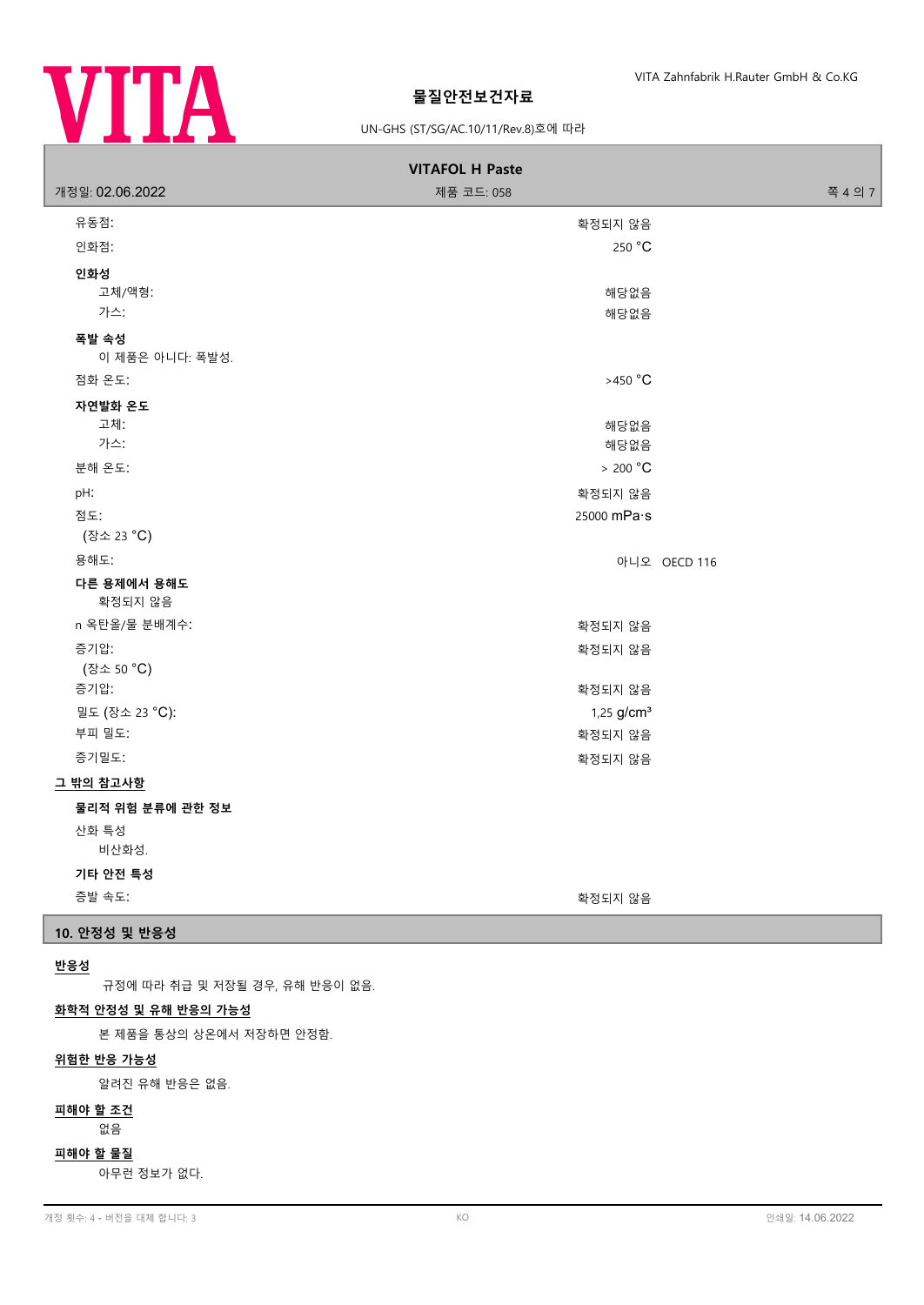

### UN-GHS (ST/SG/AC.10/11/Rev.8)호에 따라

| <b>VITAFOL H Paste</b>   |                          |              |  |  |  |
|--------------------------|--------------------------|--------------|--|--|--|
| 개정일: 02.06.2022          | 제품 코드: 058               | 쪽 4 의 7      |  |  |  |
| 유동점:                     | 확정되지 않음                  |              |  |  |  |
| 인화점:                     | 250 °C                   |              |  |  |  |
| 인화성                      |                          |              |  |  |  |
| 고체/액형:                   | 해당없음                     |              |  |  |  |
| 가스:                      | 해당없음                     |              |  |  |  |
| 폭발 속성<br>이 제품은 아니다: 폭발성. |                          |              |  |  |  |
| 점화 온도:                   | $>450 °C$                |              |  |  |  |
| 자연발화 온도                  |                          |              |  |  |  |
| 고체:                      | 해당없음                     |              |  |  |  |
| 가스:                      | 해당없음                     |              |  |  |  |
| 분해 온도:                   | > 200 °C                 |              |  |  |  |
| pH:                      | 확정되지 않음                  |              |  |  |  |
| 점도:<br>(장소 23 °C)        | 25000 mPa·s              |              |  |  |  |
| 용해도:                     |                          | 아니오 OECD 116 |  |  |  |
| 다른 용제에서 용해도<br>확정되지 않음   |                          |              |  |  |  |
| n 옥탄올/물 분배계수:            | 확정되지 않음                  |              |  |  |  |
| 증기압:                     | 확정되지 않음                  |              |  |  |  |
| (장소 50 °C)               |                          |              |  |  |  |
| 증기압:                     | 확정되지 않음                  |              |  |  |  |
| 밀도 (장소 23 °C):           | $1,25$ g/cm <sup>3</sup> |              |  |  |  |
| 부피 밀도:                   | 확정되지 않음                  |              |  |  |  |
| 증기밀도:                    | 확정되지 않음                  |              |  |  |  |
| 그 밖의 참고사항                |                          |              |  |  |  |
| 물리적 위험 분류에 관한 정보         |                          |              |  |  |  |
| 산화 특성                    |                          |              |  |  |  |
| 비산화성.                    |                          |              |  |  |  |
| 기타 안전 특성                 |                          |              |  |  |  |
| 증발 속도:                   | 확정되지 않음                  |              |  |  |  |

### **10. 안정성 및 반응성**

#### **반응성**

규정에 따라 취급 및 저장될 경우, 유해 반응이 없음.

### **화학적 안정성 및 유해 반응의 가능성**

본 제품을 통상의 상온에서 저장하면 안정함.

### **위험한 반응 가능성**

알려진 유해 반응은 없음.

# **피해야 할 조건**

### 없음

**피해야 할 물질**

아무런 정보가 없다.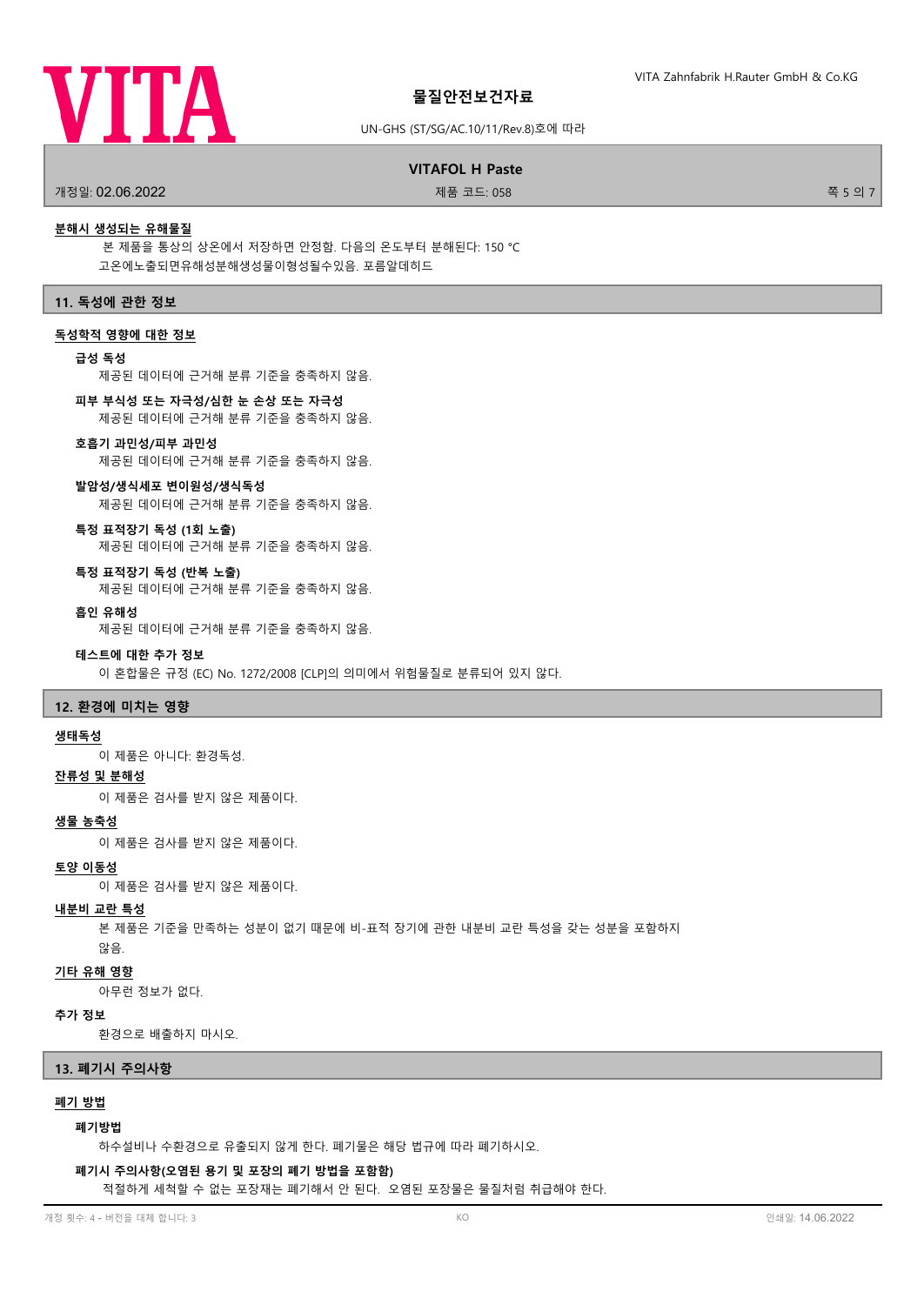

#### UN-GHS (ST/SG/AC.10/11/Rev.8)호에 따라

#### .<br>개정일: 02.06.2022 제품 코드: 058 전 12.05.2022 전 12.05.2022 전 12.05.2022 전 12.05.2022 전 12.05.2022 전 12.05.2022 전 12.

**VITAFOL H Paste**

#### **분해시 생성되는 유해물질**

본 제품을 통상의 상온에서 저장하면 안정함. 다음의 온도부터 분해된다: 150 °C 고온에노출되면유해성분해생성물이형성될수있음. 포름알데히드

#### **11. 독성에 관한 정보**

#### **독성학적 영향에 대한 정보**

### **급성 독성**

제공된 데이터에 근거해 분류 기준을 충족하지 않음.

#### **피부 부식성 또는 자극성/심한 눈 손상 또는 자극성**

제공된 데이터에 근거해 분류 기준을 충족하지 않음.

#### **호흡기 과민성/피부 과민성**

제공된 데이터에 근거해 분류 기준을 충족하지 않음.

#### **발암성/생식세포 변이원성/생식독성**

제공된 데이터에 근거해 분류 기준을 충족하지 않음.

#### **특정 표적장기 독성 (1회 노출)**

제공된 데이터에 근거해 분류 기준을 충족하지 않음.

#### **특정 표적장기 독성 (반복 노출)**

제공된 데이터에 근거해 분류 기준을 충족하지 않음.

#### **흡인 유해성**

제공된 데이터에 근거해 분류 기준을 충족하지 않음.

#### **테스트에 대한 추가 정보**

이 혼합물은 규정 (EC) No. 1272/2008 [CLP]의 의미에서 위험물질로 분류되어 있지 않다.

#### **12. 환경에 미치는 영향**

#### **생태독성**

이 제품은 아니다: 환경독성.

### **잔류성 및 분해성**

이 제품은 검사를 받지 않은 제품이다.

#### **생물 농축성**

이 제품은 검사를 받지 않은 제품이다.

#### **토양 이동성**

이 제품은 검사를 받지 않은 제품이다.

#### **내분비 교란 특성**

본 제품은 기준을 만족하는 성분이 없기 때문에 비-표적 장기에 관한 내분비 교란 특성을 갖는 성분을 포함하지 않음.

#### **기타 유해 영향**

아무런 정보가 없다.

#### **추가 정보**

환경으로 배출하지 마시오.

#### **13. 폐기시 주의사항**

#### **폐기 방법**

#### **폐기방법**

하수설비나 수환경으로 유출되지 않게 한다. 폐기물은 해당 법규에 따라 폐기하시오.

#### **폐기시 주의사항(오염된 용기 및 포장의 폐기 방법을 포함함)**

적절하게 세척할 수 없는 포장재는 폐기해서 안 된다. 오염된 포장물은 물질처럼 취급해야 한다.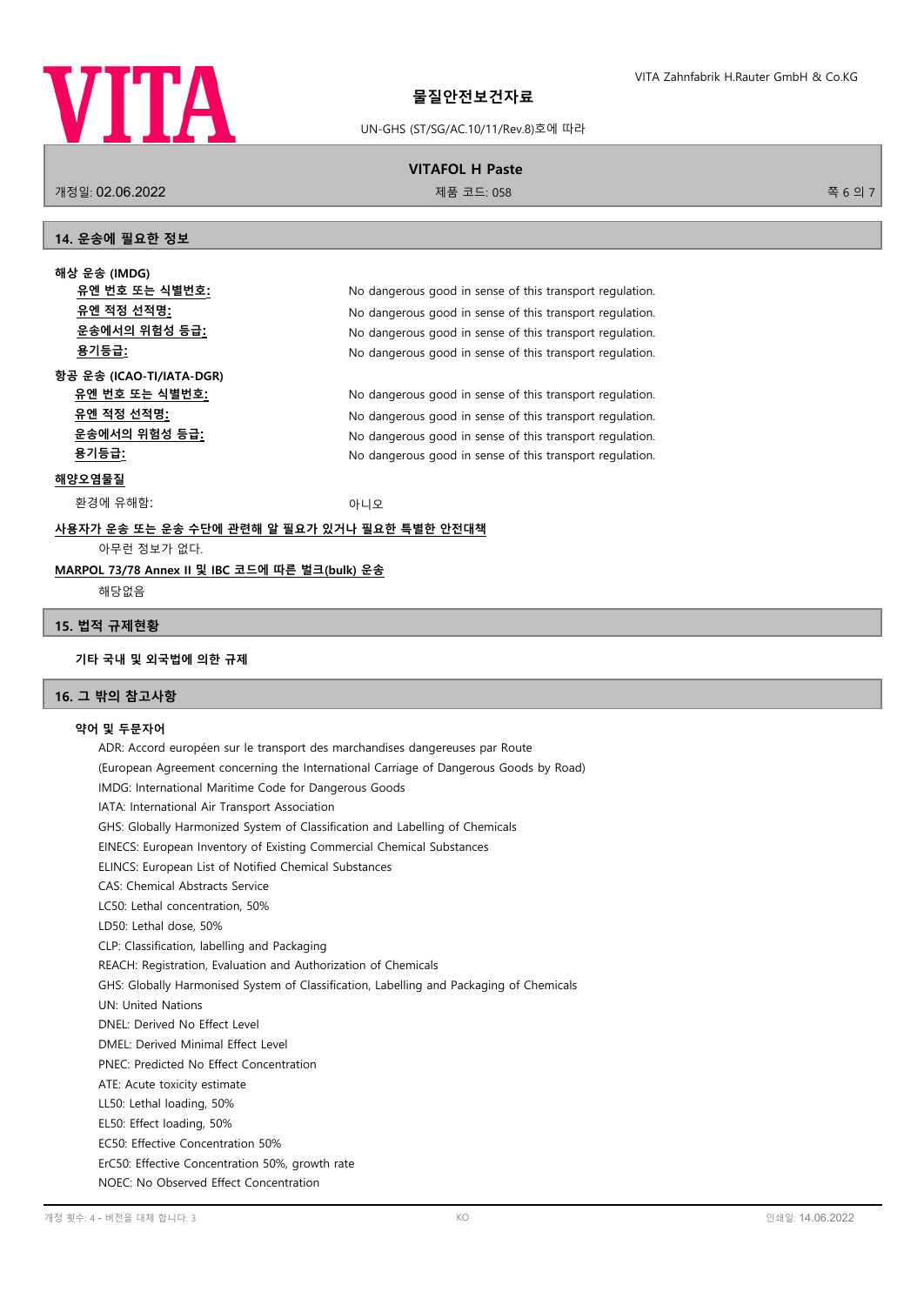

# UN-GHS (ST/SG/AC.10/11/Rev.8)호에 따라 **VITAFOL H Paste**

.<br>개정일: 02.06.2022 제품 코드: 058 전 12.058 전 12.058 전 12.058 전 12.058 전 12.058 전 12.058 전 12.058 전 12.058 전 12.058 전 1

#### **14. 운송에 필요한 정보**

**해상 운송 (IMDG) 유엔 번호 또는 식별번호:** No dangerous good in sense of this transport regulation. **유엔 적정 선적명:** No dangerous good in sense of this transport regulation. **운송에서의 위험성 등급:** No dangerous good in sense of this transport regulation. **용기등급:** No dangerous good in sense of this transport regulation.

**항공 운송 (ICAO-TI/IATA-DGR) 유엔 번호 또는 식별번호:** No dangerous good in sense of this transport regulation. **유엔 적정 선적명:** No dangerous good in sense of this transport regulation. **운송에서의 위험성 등급:** No dangerous good in sense of this transport regulation. **용기등급:** No dangerous good in sense of this transport regulation.

### **해양오염물질**

환경에 유해함: 아니오 아니오 아니오

# **사용자가 운송 또는 운송 수단에 관련해 알 필요가 있거나 필요한 특별한 안전대책** 아무런 정보가 없다.

### **MARPOL 73/78 Annex II 및 IBC 코드에 따른 벌크(bulk) 운송**

해당없음

#### **15. 법적 규제현황**

### **기타 국내 및 외국법에 의한 규제**

### **16. 그 밖의 참고사항**

### **약어 및 두문자어**

ADR: Accord européen sur le transport des marchandises dangereuses par Route (European Agreement concerning the International Carriage of Dangerous Goods by Road) IMDG: International Maritime Code for Dangerous Goods IATA: International Air Transport Association GHS: Globally Harmonized System of Classification and Labelling of Chemicals EINECS: European Inventory of Existing Commercial Chemical Substances ELINCS: European List of Notified Chemical Substances CAS: Chemical Abstracts Service LC50: Lethal concentration, 50% LD50: Lethal dose, 50% CLP: Classification, labelling and Packaging REACH: Registration, Evaluation and Authorization of Chemicals GHS: Globally Harmonised System of Classification, Labelling and Packaging of Chemicals UN: United Nations DNEL: Derived No Effect Level DMEL: Derived Minimal Effect Level PNEC: Predicted No Effect Concentration ATE: Acute toxicity estimate LL50: Lethal loading, 50% EL50: Effect loading, 50% EC50: Effective Concentration 50% ErC50: Effective Concentration 50%, growth rate NOEC: No Observed Effect Concentration